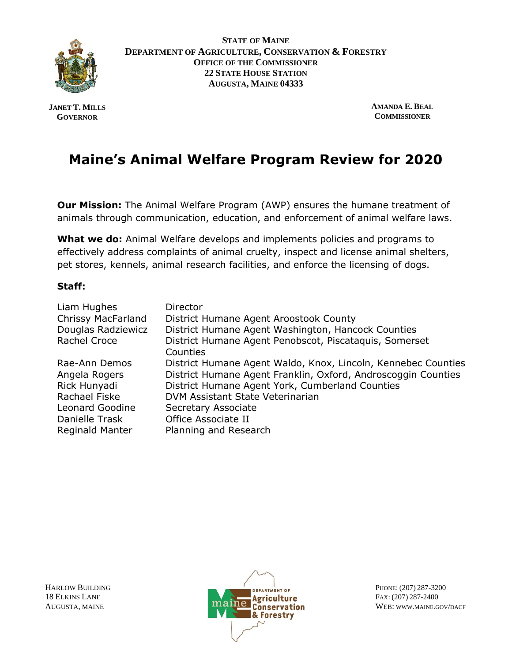

**STATE OF MAINE DEPARTMENT OF AGRICULTURE, CONSERVATION & FORESTRY OFFICE OF THE COMMISSIONER 22 STATE HOUSE STATION AUGUSTA, MAINE 04333**

**JANET T. MILLS GOVERNOR**

**AMANDA E. BEAL COMMISSIONER**

# **Maine's Animal Welfare Program Review for 2020**

**Our Mission:** The Animal Welfare Program (AWP) ensures the humane treatment of animals through communication, education, and enforcement of animal welfare laws.

**What we do:** Animal Welfare develops and implements policies and programs to effectively address complaints of animal cruelty, inspect and license animal shelters, pet stores, kennels, animal research facilities, and enforce the licensing of dogs.

#### **Staff:**

| Liam Hughes            | <b>Director</b>                                               |
|------------------------|---------------------------------------------------------------|
| Chrissy MacFarland     | District Humane Agent Aroostook County                        |
| Douglas Radziewicz     | District Humane Agent Washington, Hancock Counties            |
| Rachel Croce           | District Humane Agent Penobscot, Piscataquis, Somerset        |
|                        | Counties                                                      |
| Rae-Ann Demos          | District Humane Agent Waldo, Knox, Lincoln, Kennebec Counties |
| Angela Rogers          | District Humane Agent Franklin, Oxford, Androscoggin Counties |
| Rick Hunyadi           | District Humane Agent York, Cumberland Counties               |
| Rachael Fiske          | DVM Assistant State Veterinarian                              |
| Leonard Goodine        | Secretary Associate                                           |
| Danielle Trask         | Office Associate II                                           |
| <b>Reginald Manter</b> | Planning and Research                                         |

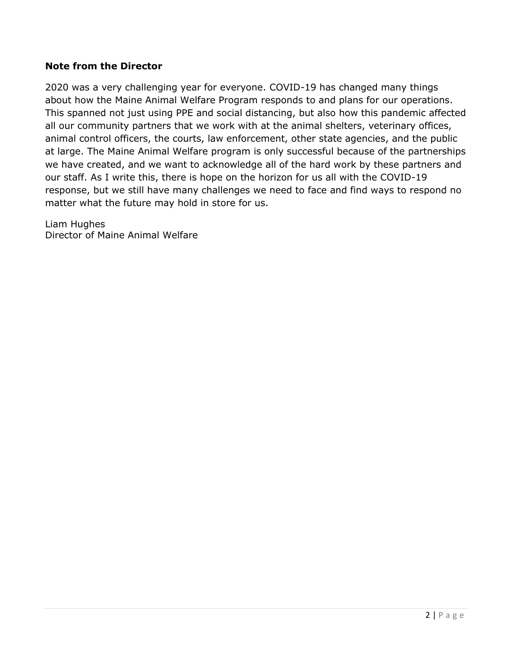#### **Note from the Director**

2020 was a very challenging year for everyone. COVID-19 has changed many things about how the Maine Animal Welfare Program responds to and plans for our operations. This spanned not just using PPE and social distancing, but also how this pandemic affected all our community partners that we work with at the animal shelters, veterinary offices, animal control officers, the courts, law enforcement, other state agencies, and the public at large. The Maine Animal Welfare program is only successful because of the partnerships we have created, and we want to acknowledge all of the hard work by these partners and our staff. As I write this, there is hope on the horizon for us all with the COVID-19 response, but we still have many challenges we need to face and find ways to respond no matter what the future may hold in store for us.

Liam Hughes Director of Maine Animal Welfare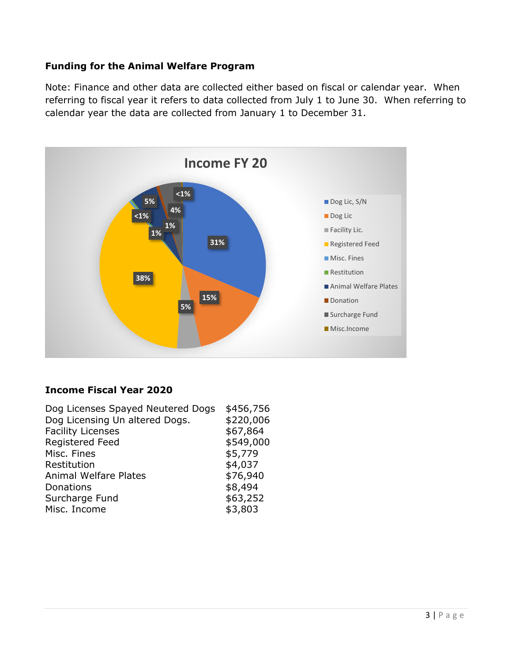### **Funding for the Animal Welfare Program**

Note: Finance and other data are collected either based on fiscal or calendar year. When referring to fiscal year it refers to data collected from July 1 to June 30. When referring to calendar year the data are collected from January 1 to December 31.



#### **Income Fiscal Year 2020**

| \$456,756 |
|-----------|
| \$220,006 |
| \$67,864  |
| \$549,000 |
| \$5,779   |
| \$4,037   |
| \$76,940  |
| \$8,494   |
| \$63,252  |
| \$3,803   |
|           |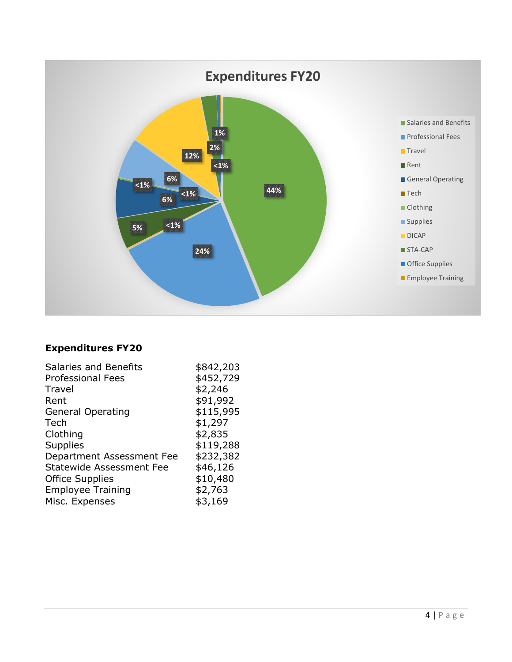

## **Expenditures FY20**

| Salaries and Benefits           | \$842,203 |
|---------------------------------|-----------|
| <b>Professional Fees</b>        | \$452,729 |
| <b>Travel</b>                   | \$2,246   |
| Rent                            | \$91,992  |
| <b>General Operating</b>        | \$115,995 |
| Tech                            | \$1,297   |
| Clothing                        | \$2,835   |
| <b>Supplies</b>                 | \$119,288 |
| Department Assessment Fee       | \$232,382 |
| <b>Statewide Assessment Fee</b> | \$46,126  |
| <b>Office Supplies</b>          | \$10,480  |
| <b>Employee Training</b>        | \$2,763   |
| Misc. Expenses                  | \$3,169   |
|                                 |           |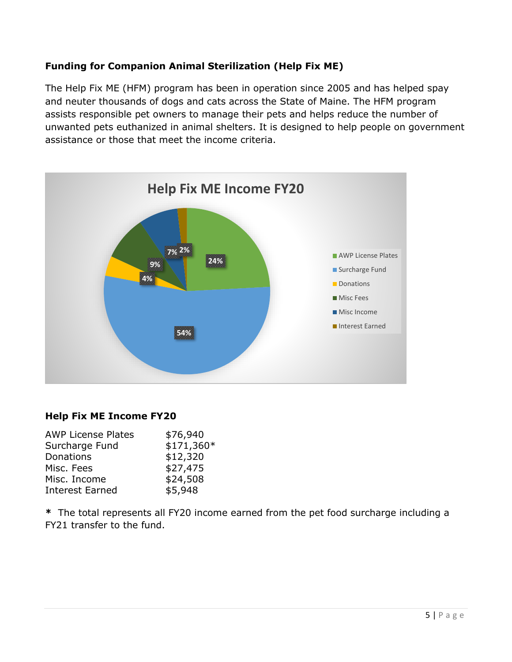## **Funding for Companion Animal Sterilization (Help Fix ME)**

The Help Fix ME (HFM) program has been in operation since 2005 and has helped spay and neuter thousands of dogs and cats across the State of Maine. The HFM program assists responsible pet owners to manage their pets and helps reduce the number of unwanted pets euthanized in animal shelters. It is designed to help people on government assistance or those that meet the income criteria.



#### **Help Fix ME Income FY20**

| <b>AWP License Plates</b> | \$76,940   |
|---------------------------|------------|
| Surcharge Fund            | \$171,360* |
| Donations                 | \$12,320   |
| Misc. Fees                | \$27,475   |
| Misc. Income              | \$24,508   |
| <b>Interest Earned</b>    | \$5,948    |
|                           |            |

**\*** The total represents all FY20 income earned from the pet food surcharge including a FY21 transfer to the fund.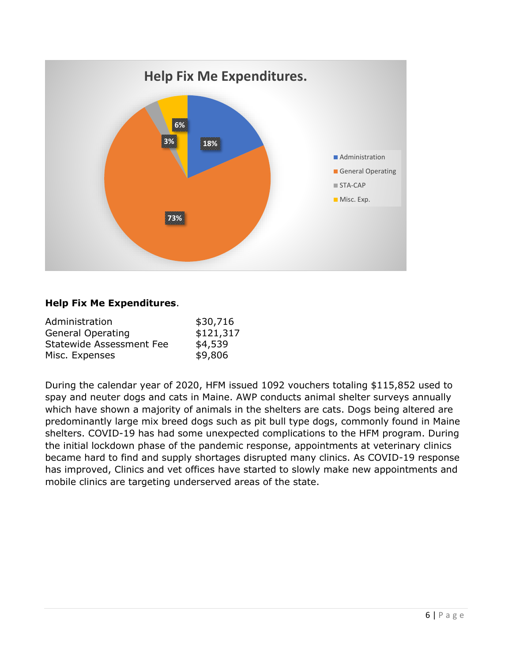

#### **Help Fix Me Expenditures**.

| Administration           | \$30,716  |
|--------------------------|-----------|
| <b>General Operating</b> | \$121,317 |
| Statewide Assessment Fee | \$4,539   |
| Misc. Expenses           | \$9,806   |

During the calendar year of 2020, HFM issued 1092 vouchers totaling \$115,852 used to spay and neuter dogs and cats in Maine. AWP conducts animal shelter surveys annually which have shown a majority of animals in the shelters are cats. Dogs being altered are predominantly large mix breed dogs such as pit bull type dogs, commonly found in Maine shelters. COVID-19 has had some unexpected complications to the HFM program. During the initial lockdown phase of the pandemic response, appointments at veterinary clinics became hard to find and supply shortages disrupted many clinics. As COVID-19 response has improved, Clinics and vet offices have started to slowly make new appointments and mobile clinics are targeting underserved areas of the state.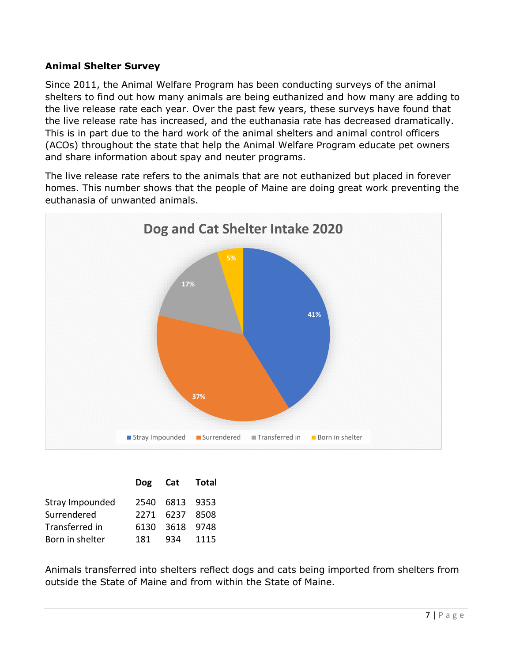#### **Animal Shelter Survey**

Since 2011, the Animal Welfare Program has been conducting surveys of the animal shelters to find out how many animals are being euthanized and how many are adding to the live release rate each year. Over the past few years, these surveys have found that the live release rate has increased, and the euthanasia rate has decreased dramatically. This is in part due to the hard work of the animal shelters and animal control officers (ACOs) throughout the state that help the Animal Welfare Program educate pet owners and share information about spay and neuter programs.

The live release rate refers to the animals that are not euthanized but placed in forever homes. This number shows that the people of Maine are doing great work preventing the euthanasia of unwanted animals.



|                 |     | Dog Cat Total  |  |
|-----------------|-----|----------------|--|
| Stray Impounded |     | 2540 6813 9353 |  |
| Surrendered     |     | 2271 6237 8508 |  |
| Transferred in  |     | 6130 3618 9748 |  |
| Born in shelter | 181 | 934 1115       |  |

Animals transferred into shelters reflect dogs and cats being imported from shelters from outside the State of Maine and from within the State of Maine.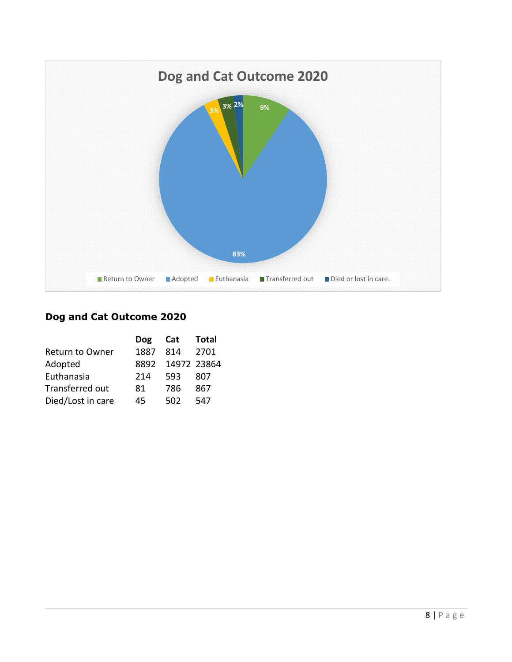

## **Dog and Cat Outcome 2020**

| Total            |
|------------------|
| 2701             |
| 8892 14972 23864 |
|                  |
|                  |
|                  |
|                  |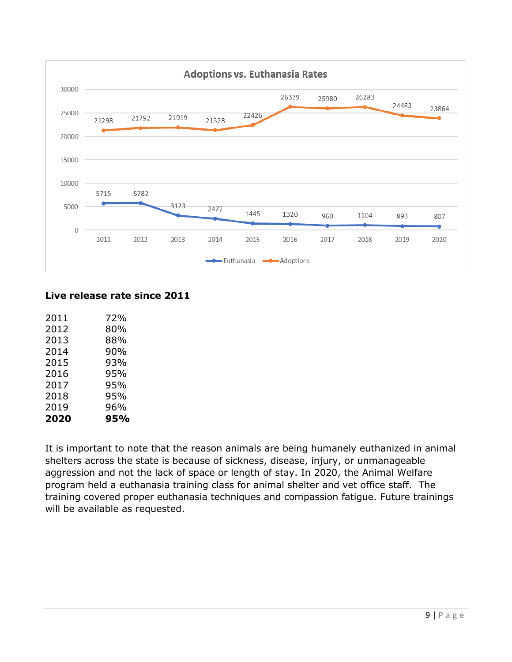

#### **Live release rate since 2011**

| 2020 | 95% |
|------|-----|
| 2019 | 96% |
| 2018 | 95% |
| 2017 | 95% |
| 2016 | 95% |
| 2015 | 93% |
| 2014 | 90% |
| 2013 | 88% |
| 2012 | 80% |
| 2011 | 72% |

It is important to note that the reason animals are being humanely euthanized in animal shelters across the state is because of sickness, disease, injury, or unmanageable aggression and not the lack of space or length of stay. In 2020, the Animal Welfare program held a euthanasia training class for animal shelter and vet office staff. The training covered proper euthanasia techniques and compassion fatigue. Future trainings will be available as requested.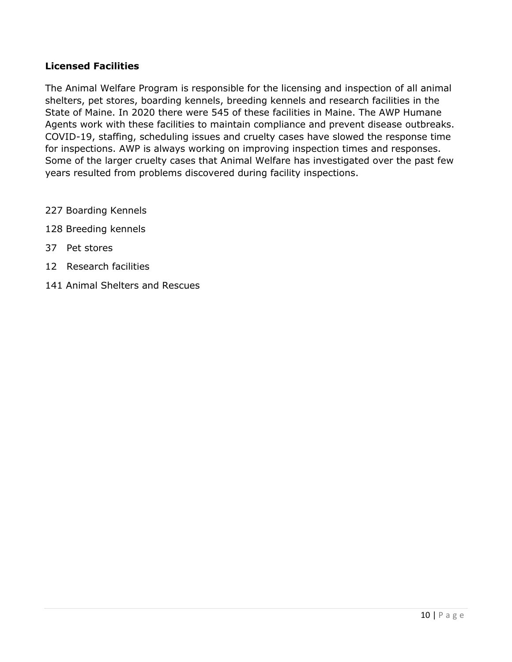#### **Licensed Facilities**

The Animal Welfare Program is responsible for the licensing and inspection of all animal shelters, pet stores, boarding kennels, breeding kennels and research facilities in the State of Maine. In 2020 there were 545 of these facilities in Maine. The AWP Humane Agents work with these facilities to maintain compliance and prevent disease outbreaks. COVID-19, staffing, scheduling issues and cruelty cases have slowed the response time for inspections. AWP is always working on improving inspection times and responses. Some of the larger cruelty cases that Animal Welfare has investigated over the past few years resulted from problems discovered during facility inspections.

- 227 Boarding Kennels
- 128 Breeding kennels
- 37 Pet stores
- 12 Research facilities
- 141 Animal Shelters and Rescues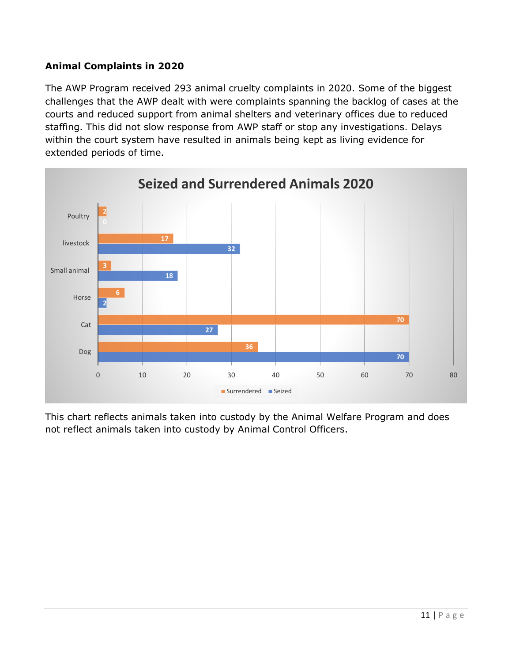## **Animal Complaints in 2020**

The AWP Program received 293 animal cruelty complaints in 2020. Some of the biggest challenges that the AWP dealt with were complaints spanning the backlog of cases at the courts and reduced support from animal shelters and veterinary offices due to reduced staffing. This did not slow response from AWP staff or stop any investigations. Delays within the court system have resulted in animals being kept as living evidence for extended periods of time.



This chart reflects animals taken into custody by the Animal Welfare Program and does not reflect animals taken into custody by Animal Control Officers.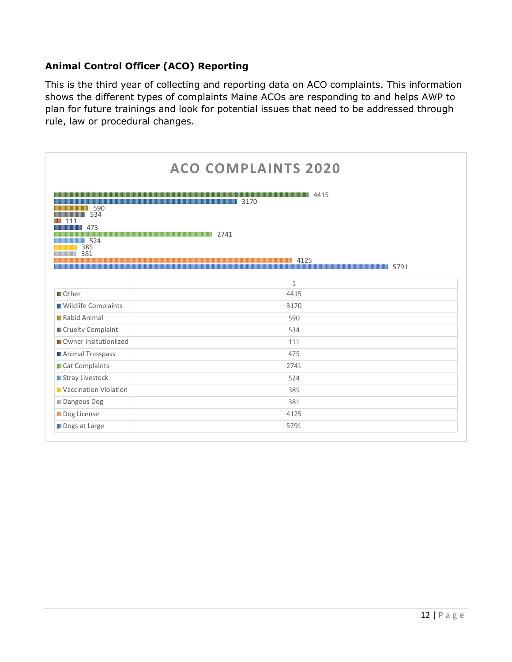## **Animal Control Officer (ACO) Reporting**

This is the third year of collecting and reporting data on ACO complaints. This information shows the different types of complaints Maine ACOs are responding to and helps AWP to plan for future trainings and look for potential issues that need to be addressed through rule, law or procedural changes.

| <b>ACO COMPLAINTS 2020</b>                                                                                                                                                                                                                                                                                                                                                                                                                                                                                                                                                                                   |              |
|--------------------------------------------------------------------------------------------------------------------------------------------------------------------------------------------------------------------------------------------------------------------------------------------------------------------------------------------------------------------------------------------------------------------------------------------------------------------------------------------------------------------------------------------------------------------------------------------------------------|--------------|
| <u>14415 / 4415 / Annual Architecture (15 April 16 April 16 April 16 April 16 April 16 April 16 April 16 April 16 April 16 April 16 April 16 April 16 April 16 April 16 April 16 April 16 April 16 April 16 April 16 April 16 Ap</u><br><b>THE RESIDENT OF STATE OF STATE OF STATE OF STATE OF STATE OF STATE OF STATE OF STATE OF STATE OF STATE OF STATE</b><br><b>MINIMUMINIMUMINI 590</b><br><b>MINIMUMININININI</b> 534<br>111<br>475<br><b>IIIIIIIIIIIIII</b><br><b>MINIMUMINIMUMINIMUMINI 2741</b><br>524<br>385<br>381<br>4125<br><u> 1989 - Andrea Stadt British Andrew Maria (b. 1989)</u><br>5791 |              |
|                                                                                                                                                                                                                                                                                                                                                                                                                                                                                                                                                                                                              | $\mathbf{1}$ |
| <b>III</b> Other                                                                                                                                                                                                                                                                                                                                                                                                                                                                                                                                                                                             | 4415         |
| <b>III</b> Wildlife Complaints                                                                                                                                                                                                                                                                                                                                                                                                                                                                                                                                                                               | 3170         |
| <b>III</b> Rabid Animal                                                                                                                                                                                                                                                                                                                                                                                                                                                                                                                                                                                      | 590          |
| <b>III</b> Cruelty Complaint                                                                                                                                                                                                                                                                                                                                                                                                                                                                                                                                                                                 | 534          |
| <b>III</b> Owner Insitutionlized                                                                                                                                                                                                                                                                                                                                                                                                                                                                                                                                                                             | 111          |
| <b>III</b> Animal Tresspass                                                                                                                                                                                                                                                                                                                                                                                                                                                                                                                                                                                  | 475          |
| <b>III</b> Cat Complaints                                                                                                                                                                                                                                                                                                                                                                                                                                                                                                                                                                                    | 2741         |
| <b>III</b> Stray Livestock                                                                                                                                                                                                                                                                                                                                                                                                                                                                                                                                                                                   | 524          |
| <b>III</b> Vaccination Violation                                                                                                                                                                                                                                                                                                                                                                                                                                                                                                                                                                             | 385          |
| <b>III</b> Dangous Dog                                                                                                                                                                                                                                                                                                                                                                                                                                                                                                                                                                                       | 381          |
| <b>III</b> Dog License                                                                                                                                                                                                                                                                                                                                                                                                                                                                                                                                                                                       | 4125         |
| <b>III</b> Dogs at Large                                                                                                                                                                                                                                                                                                                                                                                                                                                                                                                                                                                     | 5791         |